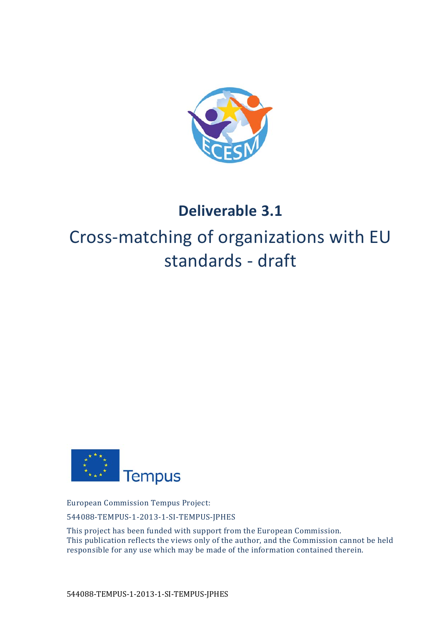

## **Deliverable 3.1**

## Cross-matching of organizations with EU standards - draft



European Commission Tempus Project:

544088‐TEMPUS‐1‐2013‐1‐SI‐TEMPUS‐JPHES 

This project has been funded with support from the European Commission. This publication reflects the views only of the author, and the Commission cannot be held responsible for any use which may be made of the information contained therein.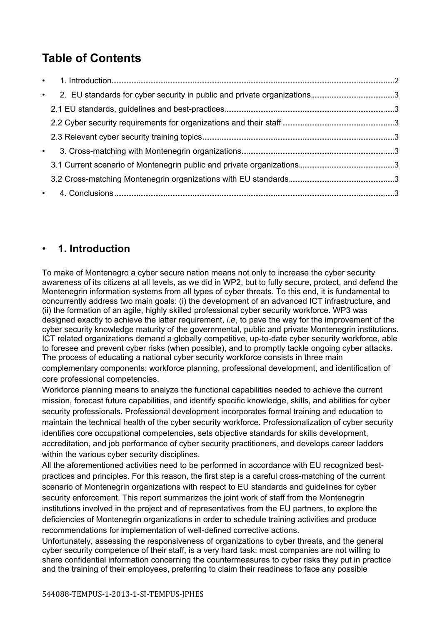## **Table of Contents**

| $\bullet$ |  |
|-----------|--|
|           |  |
|           |  |
| $\bullet$ |  |

## • **1. Introduction**

To make of Montenegro a cyber secure nation means not only to increase the cyber security awareness of its citizens at all levels, as we did in WP2, but to fully secure, protect, and defend the Montenegrin information systems from all types of cyber threats. To this end, it is fundamental to concurrently address two main goals: (i) the development of an advanced ICT infrastructure, and (ii) the formation of an agile, highly skilled professional cyber security workforce. WP3 was designed exactly to achieve the latter requirement, *i.e*, to pave the way for the improvement of the cyber security knowledge maturity of the governmental, public and private Montenegrin institutions. ICT related organizations demand a globally competitive, up-to-date cyber security workforce, able to foresee and prevent cyber risks (when possible), and to promptly tackle ongoing cyber attacks. The process of educating a national cyber security workforce consists in three main complementary components: workforce planning, professional development, and identification of core professional competencies.

Workforce planning means to analyze the functional capabilities needed to achieve the current mission, forecast future capabilities, and identify specific knowledge, skills, and abilities for cyber security professionals. Professional development incorporates formal training and education to maintain the technical health of the cyber security workforce. Professionalization of cyber security identifies core occupational competencies, sets objective standards for skills development, accreditation, and job performance of cyber security practitioners, and develops career ladders within the various cyber security disciplines.

All the aforementioned activities need to be performed in accordance with EU recognized bestpractices and principles. For this reason, the first step is a careful cross-matching of the current scenario of Montenegrin organizations with respect to EU standards and guidelines for cyber security enforcement. This report summarizes the joint work of staff from the Montenegrin institutions involved in the project and of representatives from the EU partners, to explore the deficiencies of Montenegrin organizations in order to schedule training activities and produce recommendations for implementation of well-defined corrective actions.

Unfortunately, assessing the responsiveness of organizations to cyber threats, and the general cyber security competence of their staff, is a very hard task: most companies are not willing to share confidential information concerning the countermeasures to cyber risks they put in practice and the training of their employees, preferring to claim their readiness to face any possible